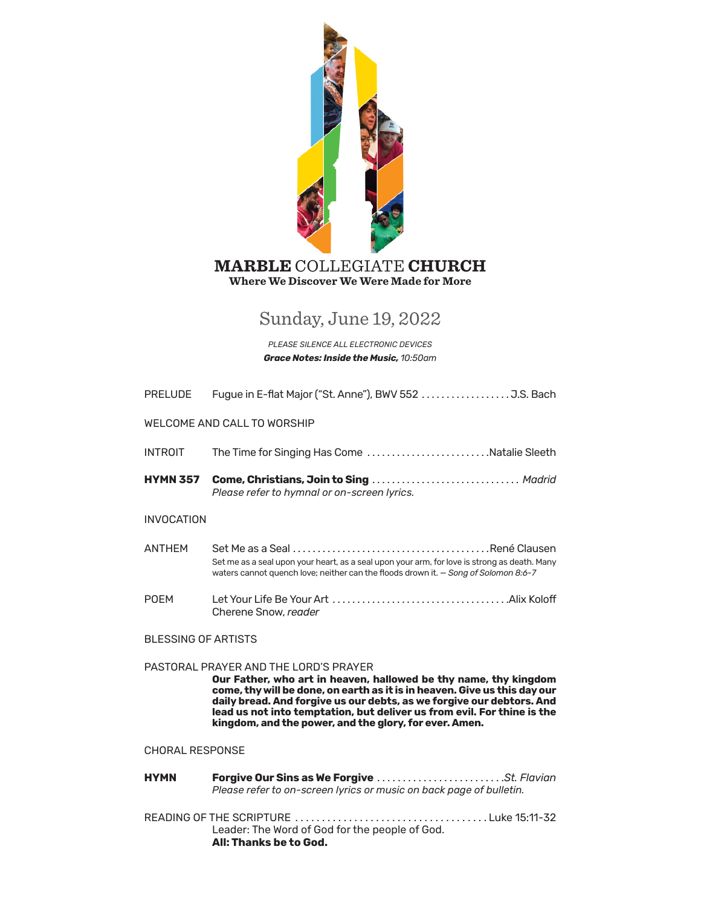

# **Where We Discover We Were Made for More MARBLE** COLLEGIATE **CHURCH**

# Sunday, June 19, 2022

*PLEASE SILENCE ALL ELECTRONIC DEVICES Grace Notes: Inside the Music, 10:50am*

| <b>PRELUDE</b>              |                                                                                                                                                                                                                                                                                                                                                                                                      |  |  |
|-----------------------------|------------------------------------------------------------------------------------------------------------------------------------------------------------------------------------------------------------------------------------------------------------------------------------------------------------------------------------------------------------------------------------------------------|--|--|
| WELCOME AND CALL TO WORSHIP |                                                                                                                                                                                                                                                                                                                                                                                                      |  |  |
| <b>INTROIT</b>              | The Time for Singing Has Come Natalie Sleeth                                                                                                                                                                                                                                                                                                                                                         |  |  |
| <b>HYMN 357</b>             | Come, Christians, Join to Sing  Madrid<br>Please refer to hymnal or on-screen lyrics.                                                                                                                                                                                                                                                                                                                |  |  |
| <b>INVOCATION</b>           |                                                                                                                                                                                                                                                                                                                                                                                                      |  |  |
| <b>ANTHFM</b>               | Set me as a seal upon your heart, as a seal upon your arm, for love is strong as death. Many<br>waters cannot quench love; neither can the floods drown it. - Song of Solomon 8:6-7                                                                                                                                                                                                                  |  |  |
| <b>POFM</b>                 | Cherene Snow, reader                                                                                                                                                                                                                                                                                                                                                                                 |  |  |
| <b>BLESSING OF ARTISTS</b>  |                                                                                                                                                                                                                                                                                                                                                                                                      |  |  |
|                             | PASTORAL PRAYER AND THE LORD'S PRAYER<br>Our Father, who art in heaven, hallowed be thy name, thy kingdom<br>come, thy will be done, on earth as it is in heaven. Give us this day our<br>daily bread. And forgive us our debts, as we forgive our debtors. And<br>lead us not into temptation, but deliver us from evil. For thine is the<br>kingdom, and the power, and the glory, for ever. Amen. |  |  |
| <b>CHORAL RESPONSE</b>      |                                                                                                                                                                                                                                                                                                                                                                                                      |  |  |
| <b>HYMN</b>                 | Forgive Our Sins as We Forgive St. Flavian<br>Please refer to on-screen lyrics or music on back page of bulletin.                                                                                                                                                                                                                                                                                    |  |  |
|                             | Leader: The Word of God for the people of God.<br>All: Thanks be to God.                                                                                                                                                                                                                                                                                                                             |  |  |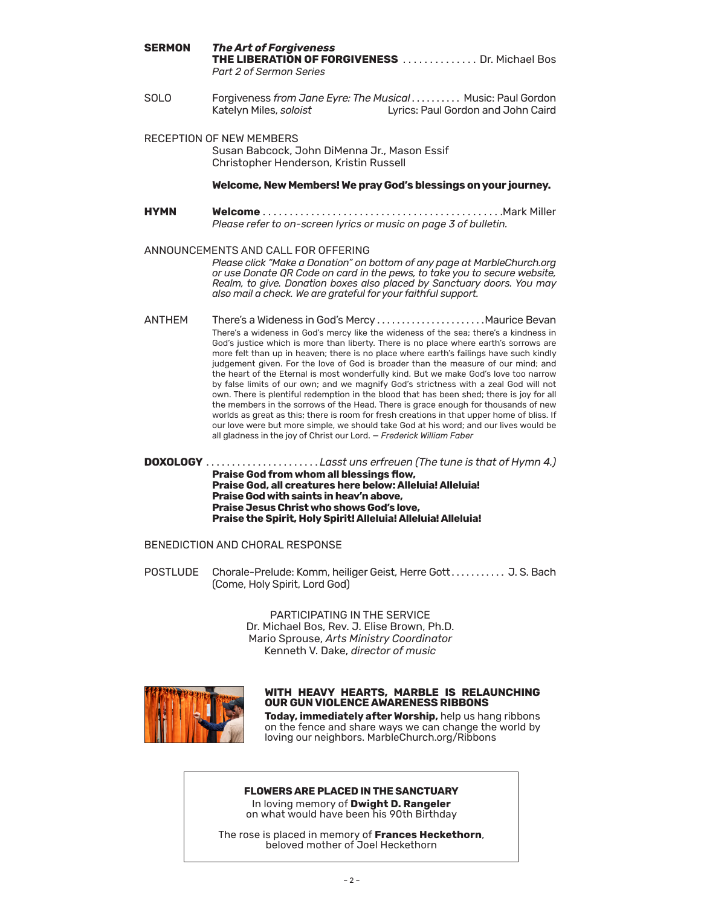| <b>SERMON</b> | <b>The Art of Forgiveness</b><br>THE LIBERATION OF FORGIVENESS  Dr. Michael Bos<br>Part 2 of Sermon Series                                                                                                                                                                                                                                                    |
|---------------|---------------------------------------------------------------------------------------------------------------------------------------------------------------------------------------------------------------------------------------------------------------------------------------------------------------------------------------------------------------|
| <b>SOLO</b>   | Forgiveness from Jane Eyre: The Musical  Music: Paul Gordon<br>Katelyn Miles, soloist<br>Lyrics: Paul Gordon and John Caird                                                                                                                                                                                                                                   |
|               | <b>RECEPTION OF NEW MEMBERS</b><br>Susan Babcock, John DiMenna Jr., Mason Essif<br>Christopher Henderson, Kristin Russell                                                                                                                                                                                                                                     |
|               | Welcome, New Members! We pray God's blessings on your journey.                                                                                                                                                                                                                                                                                                |
| HYMN          | Please refer to on-screen lyrics or music on page 3 of bulletin.                                                                                                                                                                                                                                                                                              |
|               | ANNOUNCEMENTS AND CALL FOR OFFERING<br>Please click "Make a Donation" on bottom of any page at MarbleChurch.org<br>or use Donate QR Code on card in the pews, to take you to secure website,<br>Realm, to give. Donation boxes also placed by Sanctuary doors. You may<br>also mail a check. We are grateful for your faithful support.                       |
| <b>ANTHFM</b> | There's a wideness in God's mercy like the wideness of the sea; there's a kindness in<br>God's justice which is more than liberty. There is no place where earth's sorrows are<br>more felt than up in heaven; there is no place where earth's failings have such kindly<br>judgement given. For the love of God is broader than the measure of our mind; and |

the heart of the Eternal is most wonderfully kind. But we make God's love too narrow by false limits of our own; and we magnify God's strictness with a zeal God will not own. There is plentiful redemption in the blood that has been shed; there is joy for all the members in the sorrows of the Head. There is grace enough for thousands of new worlds as great as this; there is room for fresh creations in that upper home of bliss. If our love were but more simple, we should take God at his word; and our lives would be all gladness in the joy of Christ our Lord. — *Frederick William Faber*

**DOXOLOGY** � � � � � � � � � � � � � � � � � � � � � � *Lasst uns erfreuen (The tune is that of Hymn 4.)*  **Praise God from whom all blessings flow, Praise God, all creatures here below: Alleluia! Alleluia! Praise God with saints in heav'n above, Praise Jesus Christ who shows God's love, Praise the Spirit, Holy Spirit! Alleluia! Alleluia! Alleluia!**

### BENEDICTION AND CHORAL RESPONSE

POSTLUDE Chorale-Prelude: Komm, heiliger Geist, Herre Gott........... J. S. Bach (Come, Holy Spirit, Lord God)

> PARTICIPATING IN THE SERVICE Dr. Michael Bos, Rev. J. Elise Brown, Ph.D. Mario Sprouse, *Arts Ministry Coordinator* Kenneth V. Dake, *director of music*



#### **WITH HEAVY HEARTS, MARBLE IS RELAUNCHING OUR GUN VIOLENCE AWARENESS RIBBONS**

**Today, immediately after Worship,** help us hang ribbons on the fence and share ways we can change the world by loving our neighbors. [MarbleChurch.org/Ribbons](https://www.marblechurch.org/ribbons)

#### **FLOWERS ARE PLACED IN THE SANCTUARY**

In loving memory of **Dwight D. Rangeler** on what would have been his 90th Birthday

The rose is placed in memory of **Frances Heckethorn**, beloved mother of Joel Heckethorn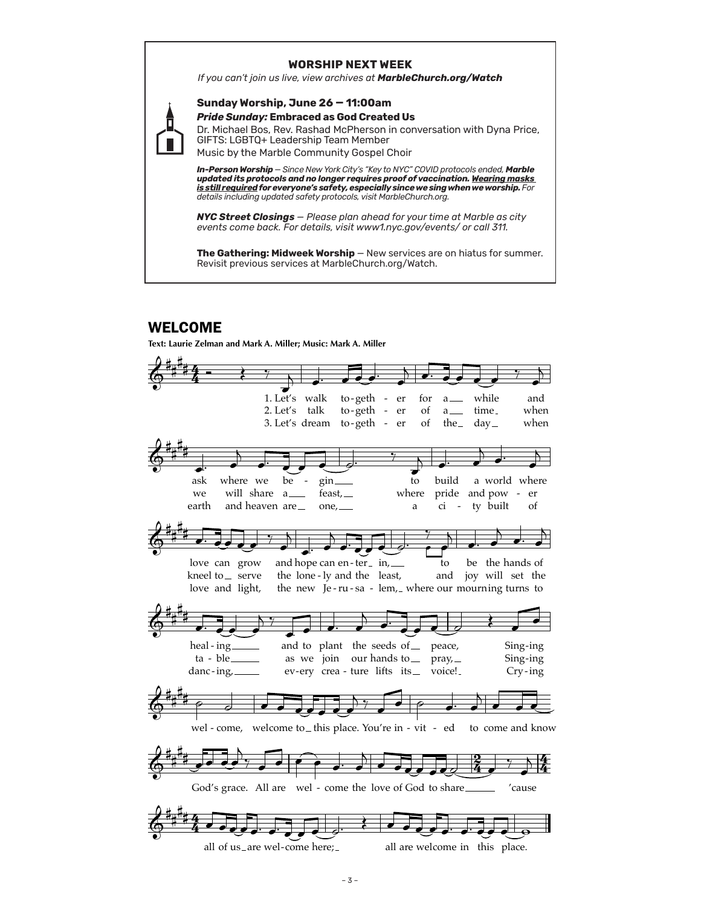#### **WORSHIP NEXT WEEK**

*If you can't join us live, view archives at MarbleChurch.org/Watch*



**Sunday Worship, June 26 — 11:00am** *Pride Sunday:* **Embraced as God Created Us**

Dr. Michael Bos, Rev. Rashad McPherson in conversation with Dyna Price, GIFTS: LGBTQ+ Leadership Team Member Music by the Marble Community Gospel Choir

*In-Person Worship* — *Since New York City's "Key to NYC" COVID protocols ended, Marble updated its protocols and no longer requires proof of vaccination. Wearing masks is still required for everyone's safety, especially since we sing when we worship. For details including updated safety protocols, visit MarbleChurch.org.*

*NYC Street Closings — Please plan ahead for your time at Marble as city events come back. For details, visit www1.nyc.gov/events/ or call 311.*

**The Gathering: Midweek Worship** — New services are on hiatus for summer. Revisit previous services at MarbleChurch.org/Watch.

# WELCOME

Text: Laurie Zelman and Mark A. Miller; Music: Mark A. Miller

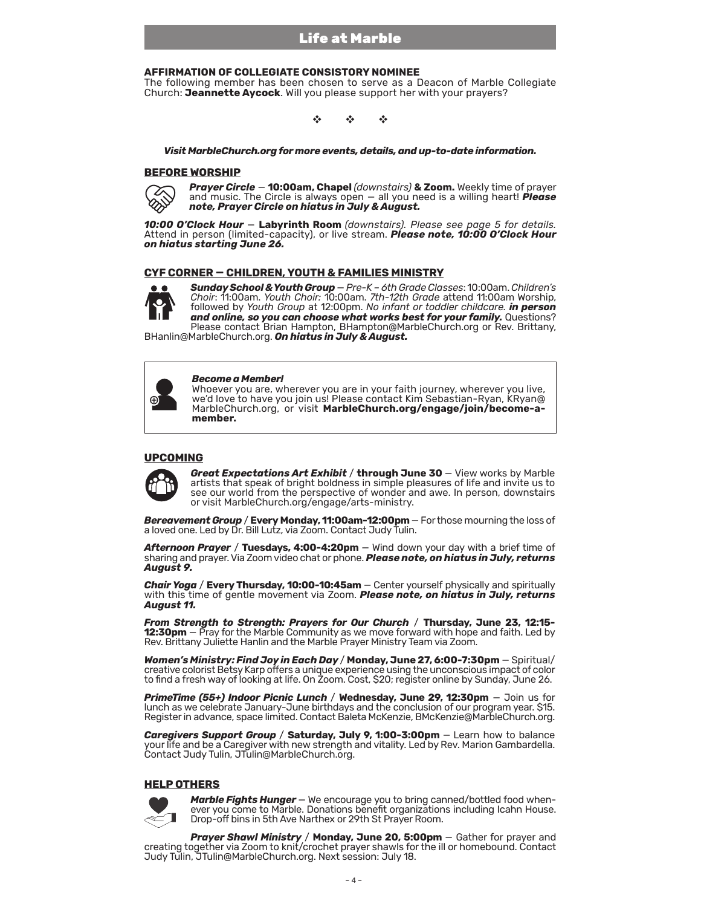#### **AFFIRMATION OF COLLEGIATE CONSISTORY NOMINEE**

The following member has been chosen to serve as a Deacon of Marble Collegiate Church: **Jeannette Aycock**. Will you please support her with your prayers?

v v v

*Visit MarbleChurch.org for more events, details, and up-to-date information.* 

#### **BEFORE WORSHIP**



*Prayer Circle* — **10:00am, Chapel** *(downstairs)* **& Zoom.** Weekly time of prayer and music. The Circle is always open — all you need is a willing heart! *Please note, Prayer Circle on hiatus in July & August.*

*10:00 O'Clock Hour* — **Labyrinth Room** *(downstairs). Please see page 5 for details.* Attend in person (limited-capacity), or live stream. *Please note, 10:00 O'Clock Hour on hiatus starting June 26.*

#### **CYF CORNER — CHILDREN, YOUTH & FAMILIES MINISTRY**



*Sunday School & Youth Group* — *Pre-K – 6th Grade Classes*: 10:00am.*Children's Choir*: 11:00am. *Youth Choir:* 10:00am. *7th-12th Grade* attend 11:00am Worship, followed by *Youth Group* at 12:00pm. *No infant or toddler childcare. in person and online, so you can choose what works best for your family.* Questions? Please contact Brian Hampton, BHampton@MarbleChurch.org or Rev. Brittany,

BHanlin@MarbleChurch.org. *On hiatus in July & August.*

| ь |  |
|---|--|
|---|--|

#### *Become a Member!*

Whoever you are, wherever you are in your faith journey, wherever you live, we'd love to have you join us! Please contact Kim Sebastian-Ryan, KRyan@ MarbleChurch.org, or visit [MarbleChurch.org/engage/join/become-a](https://www.marblechurch.org/engage/join/become-a-member)**[member.](https://www.marblechurch.org/engage/join/become-a-member)**

#### **UPCOMING**



**Great Expectations Art Exhibit / through June 30** - View works by Marble artists that speak of bright boldness in simple pleasures of life and invite us to see our world from the perspective of wonder and awe. In person, downstairs or visit MarbleChurch.org/engage/arts-ministry.

*Bereavement Group* / **Every Monday, 11:00am-12:00pm** — For those mourning the loss of a loved one. Led by Dr. Bill Lutz, via Zoom. Contact Judy Tulin.

*Afternoon Prayer* / **Tuesdays, 4:00-4:20pm** — Wind down your day with a brief time of sharing and prayer. Via Zoom video chat or phone. *Please note, on hiatus in July, returns August 9.*

*Chair Yoga* / **Every Thursday, 10:00-10:45am** — Center yourself physically and spiritually with this time of gentle movement via Zoom. *Please note, on hiatus in July, returns August 11.*

*From Strength to Strength: Prayers for Our Church* / **Thursday, June 23, 12:15- 12:30pm** – Pray for the Marble Community as we move forward with hope and faith. Led by Rev. Brittany Juliette Hanlin and the Marble Prayer Ministry Team via Zoom.

*Women's Ministry: Find Joy in Each Day* / **Monday, June 27, 6:00-7:30pm** — Spiritual/ creative colorist Betsy Karp offers a unique experience using the unconscious impact of color to find a fresh way of looking at life. On Zoom. Cost, \$20; register online by Sunday, June 26.

*PrimeTime (55+) Indoor Picnic Lunch* / **Wednesday, June 29, 12:30pm** — Join us for lunch as we celebrate January-June birthdays and the conclusion of our program year. \$15. Register in advance, space limited. Contact Baleta McKenzie, BMcKenzie@MarbleChurch.org.

*Caregivers Support Group* / **Saturday, July 9, 1:00-3:00pm** — Learn how to balance your life and be a Caregiver with new strength and vitality. Led by Rev. Marion Gambardella. Contact Judy Tulin, JTulin@MarbleChurch.org.

#### **HELP OTHERS**



*Marble Fights Hunger* — We encourage you to bring canned/bottled food when- ever you come to Marble. Donations benefit organizations including Icahn House. Drop-off bins in 5th Ave Narthex or 29th St Prayer Room.

*Prayer Shawl Ministry* / **Monday, June 20, 5:00pm** — Gather for prayer and creating together via Zoom to knit/crochet prayer shawls for the ill or homebound. Contact Judy Tulin, JTulin@MarbleChurch.org. Next session: July 18.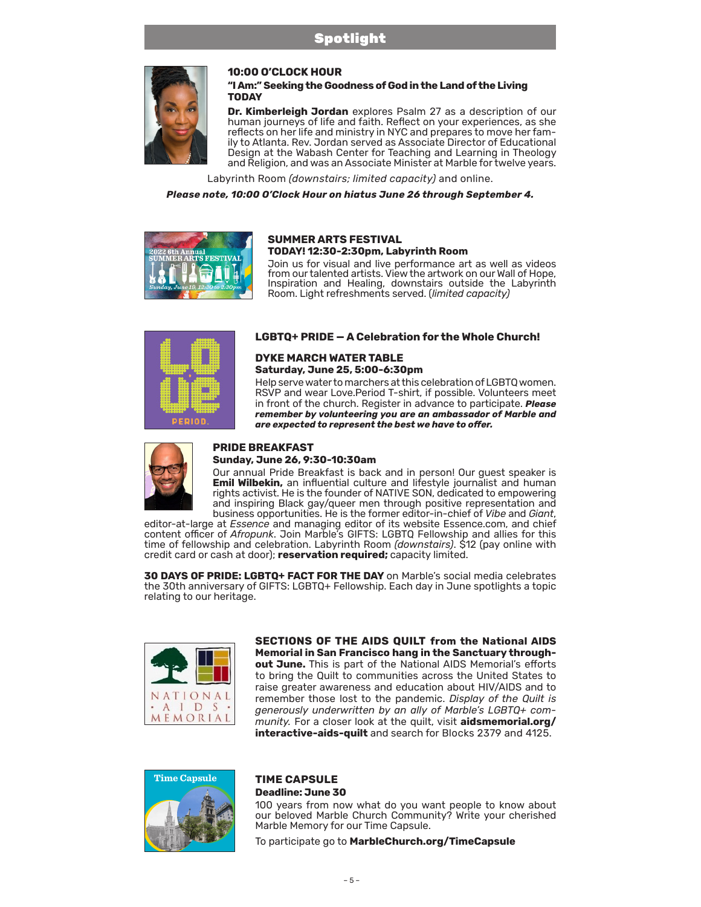

#### **10:00 O'CLOCK HOUR**

**"I Am:" Seeking the Goodness of God in the Land of the Living TODAY**

**Dr. Kimberleigh Jordan** explores Psalm 27 as a description of our human journeys of life and faith. Reflect on your experiences, as she reflects on her life and ministry in NYC and prepares to move her family to Atlanta. Rev. Jordan served as Associate Director of Educational Design at the Wabash Center for Teaching and Learning in Theology and Religion, and was an Associate Minister at Marble for twelve years.

Labyrinth Room *(downstairs; limited capacity)* and online.

*Please note, 10:00 O'Clock Hour on hiatus June 26 through September 4.*



#### **SUMMER ARTS FESTIVAL TODAY! 12:30-2:30pm, Labyrinth Room**

Join us for visual and live performance art as well as videos from our talented artists. View the artwork on our Wall of Hope, Inspiration and Healing, downstairs outside the Labyrinth Room. Light refreshments served. (*limited capacity)*



#### **LGBTQ+ PRIDE — A Celebration for the Whole Church!**

### **DYKE MARCH WATER TABLE Saturday, June 25, 5:00-6:30pm**

Help serve water to marchers at this celebration of LGBTQ women. RSVP and wear Love.Period T-shirt, if possible. Volunteers meet in front of the church. Register in advance to participate. *Please remember by volunteering you are an ambassador of Marble and are expected to represent the best we have to offer.* 



## **PRIDE BREAKFAST**

#### **Sunday, June 26, 9:30-10:30am**

Our annual Pride Breakfast is back and in person! Our guest speaker is **Emil Wilbekin,** an influential culture and lifestyle journalist and human rights activist. He is the founder of NATIVE SON, dedicated to empowering and inspiring Black gay/queer men through positive representation and business opportunities. He is the former editor-in-chief of *Vibe* and *Giant*,

editor-at-large at *Essence* and managing editor of its website Essence.com, and chief content officer of *Afropunk*. Join Marble's GIFTS: LGBTQ Fellowship and allies for this time of fellowship and celebration. Labyrinth Room *(downstairs)*. \$12 (pay online with credit card or cash at door); **reservation required;** capacity limited.

**30 DAYS OF PRIDE: LGBTQ+ FACT FOR THE DAY** on Marble's social media celebrates the 30th anniversary of GIFTS: LGBTQ+ Fellowship. Each day in June spotlights a topic relating to our heritage.



**SECTIONS OF THE AIDS QUILT from the National AIDS Memorial in San Francisco hang in the Sanctuary throughout June.** This is part of the National AIDS Memorial's efforts to bring the Quilt to communities across the United States to raise greater awareness and education about HIV/AIDS and to remember those lost to the pandemic. *Display of the Quilt is generously underwritten by an ally of Marble's LGBTQ+ community.* For a closer look at the quilt, visit **[aidsmemorial.org/](https://www.aidsmemorial.org/interactive-aids-quilt) [interactive-aids-quilt](https://www.aidsmemorial.org/interactive-aids-quilt)** and search for Blocks 2379 and 4125.



#### **TIME CAPSULE Deadline: June 30**

100 years from now what do you want people to know about our beloved Marble Church Community? Write your cherished Marble Memory for our Time Capsule.

To participate go to **[MarbleChurch.org/TimeCapsule](https://form.jotform.com/221364224521041)**